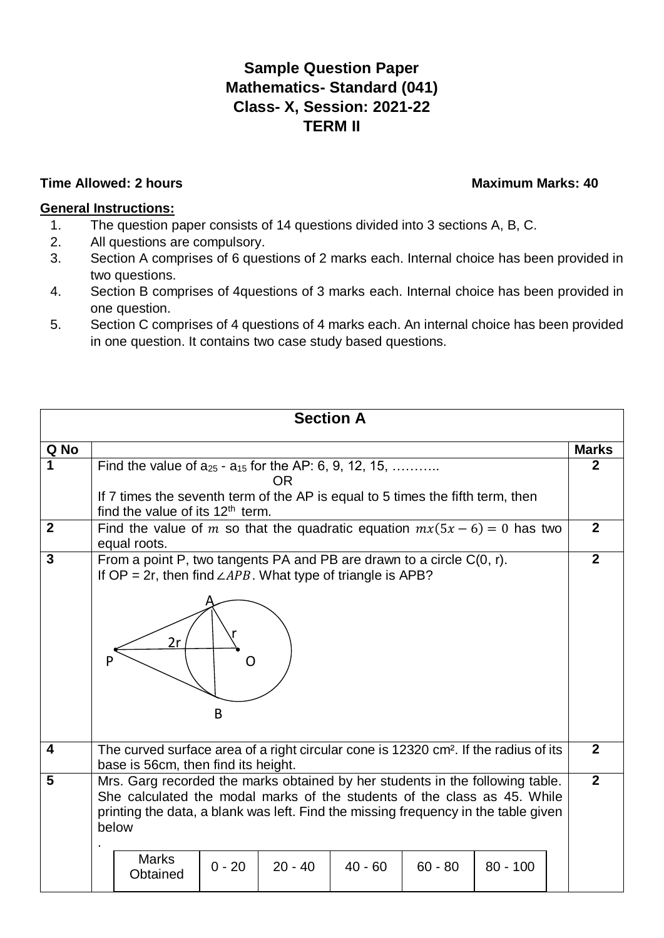## **Sample Question Paper Mathematics- Standard (041) Class- X, Session: 2021-22 TERM II**

## **Time Allowed: 2 hours Contract Contract Contract Contract Contract Contract Contract Contract Contract Contract Contract Contract Contract Contract Contract Contract Contract Contract Contract Contract Contract Contract C**

## **General Instructions:**

- 1. The question paper consists of 14 questions divided into 3 sections A, B, C.
- 2. All questions are compulsory.
- 3. Section A comprises of 6 questions of 2 marks each. Internal choice has been provided in two questions.
- 4. Section B comprises of 4questions of 3 marks each. Internal choice has been provided in one question.
- 5. Section C comprises of 4 questions of 4 marks each. An internal choice has been provided in one question. It contains two case study based questions.

| <b>Section A</b>        |                                                                                                                                                                                                                                                                          |          |           |           |           |            |                |                |
|-------------------------|--------------------------------------------------------------------------------------------------------------------------------------------------------------------------------------------------------------------------------------------------------------------------|----------|-----------|-----------|-----------|------------|----------------|----------------|
| Q No                    |                                                                                                                                                                                                                                                                          |          |           |           |           |            |                | <b>Marks</b>   |
|                         | Find the value of $a_{25}$ - $a_{15}$ for the AP: 6, 9, 12, 15,<br><b>OR</b><br>If 7 times the seventh term of the AP is equal to 5 times the fifth term, then                                                                                                           |          |           |           |           |            |                | $\mathbf 2$    |
| $\mathbf{2}$            | find the value of its $12th$ term.<br>Find the value of m so that the quadratic equation $mx(5x - 6) = 0$ has two<br>equal roots.                                                                                                                                        |          |           |           |           |            |                | $\overline{2}$ |
| 3                       | From a point P, two tangents PA and PB are drawn to a circle $C(0, r)$ .<br>If OP = 2r, then find $\angle APB$ . What type of triangle is APB?<br>2r                                                                                                                     | B        |           |           |           |            |                | $\overline{2}$ |
| $\overline{\mathbf{4}}$ | The curved surface area of a right circular cone is 12320 cm <sup>2</sup> . If the radius of its<br>base is 56cm, then find its height.                                                                                                                                  |          |           |           |           |            | $\overline{2}$ |                |
| 5                       | Mrs. Garg recorded the marks obtained by her students in the following table.<br>She calculated the modal marks of the students of the class as 45. While<br>printing the data, a blank was left. Find the missing frequency in the table given<br>below<br><b>Marks</b> |          |           |           |           |            |                | $\overline{2}$ |
|                         | Obtained                                                                                                                                                                                                                                                                 | $0 - 20$ | $20 - 40$ | $40 - 60$ | $60 - 80$ | $80 - 100$ |                |                |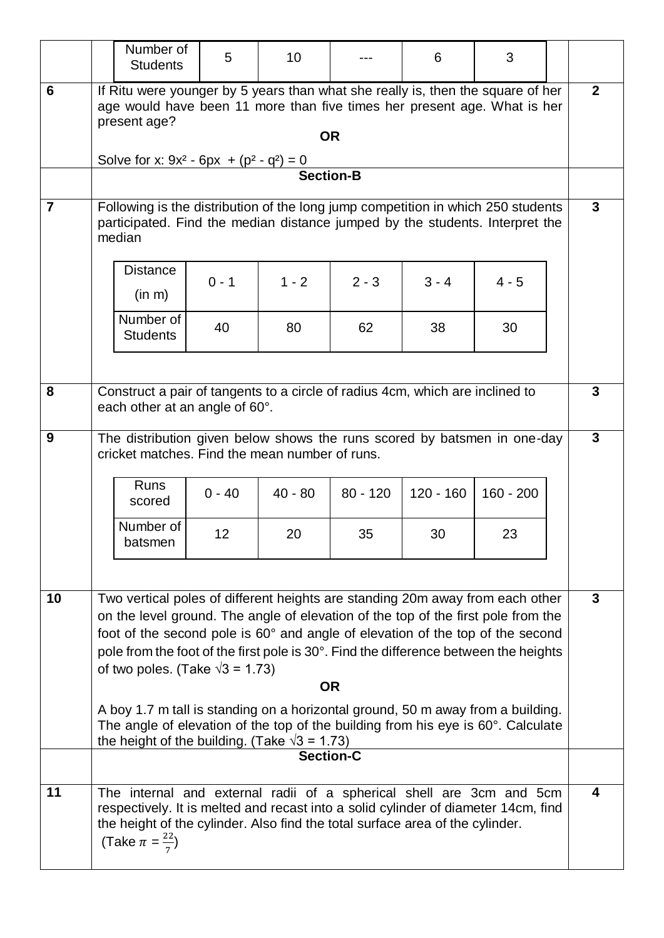|                | Number of<br><b>Students</b>                                                                                                                                                                                                                                                                                                                                                                                                                                                                                                                                                                                                                           | 5              | 10              |                  | 6                 | 3                 |  |                |
|----------------|--------------------------------------------------------------------------------------------------------------------------------------------------------------------------------------------------------------------------------------------------------------------------------------------------------------------------------------------------------------------------------------------------------------------------------------------------------------------------------------------------------------------------------------------------------------------------------------------------------------------------------------------------------|----------------|-----------------|------------------|-------------------|-------------------|--|----------------|
| 6              | If Ritu were younger by 5 years than what she really is, then the square of her<br>age would have been 11 more than five times her present age. What is her<br>present age?<br><b>OR</b><br>Solve for x: $9x^2 - 6px + (p^2 - q^2) = 0$                                                                                                                                                                                                                                                                                                                                                                                                                |                |                 |                  |                   | $\overline{2}$    |  |                |
|                |                                                                                                                                                                                                                                                                                                                                                                                                                                                                                                                                                                                                                                                        |                |                 | <b>Section-B</b> |                   |                   |  |                |
| $\overline{7}$ | Following is the distribution of the long jump competition in which 250 students<br>participated. Find the median distance jumped by the students. Interpret the<br>median                                                                                                                                                                                                                                                                                                                                                                                                                                                                             |                |                 |                  |                   |                   |  | 3              |
|                | <b>Distance</b><br>(in m)                                                                                                                                                                                                                                                                                                                                                                                                                                                                                                                                                                                                                              | $0 - 1$        | $1 - 2$         | $2 - 3$          | $3 - 4$           | $4 - 5$           |  |                |
|                | Number of<br><b>Students</b>                                                                                                                                                                                                                                                                                                                                                                                                                                                                                                                                                                                                                           | 40             | 80              | 62               | 38                | 30                |  |                |
| 8              | Construct a pair of tangents to a circle of radius 4cm, which are inclined to<br>each other at an angle of 60°.                                                                                                                                                                                                                                                                                                                                                                                                                                                                                                                                        |                |                 |                  |                   |                   |  | 3              |
| 9              | The distribution given below shows the runs scored by batsmen in one-day<br>cricket matches. Find the mean number of runs.<br><b>Runs</b><br>scored<br>Number of<br>batsmen                                                                                                                                                                                                                                                                                                                                                                                                                                                                            | $0 - 40$<br>12 | $40 - 80$<br>20 | $80 - 120$<br>35 | $120 - 160$<br>30 | $160 - 200$<br>23 |  | $\overline{3}$ |
| 10             | Two vertical poles of different heights are standing 20m away from each other<br>on the level ground. The angle of elevation of the top of the first pole from the<br>foot of the second pole is 60° and angle of elevation of the top of the second<br>pole from the foot of the first pole is 30°. Find the difference between the heights<br>of two poles. (Take $\sqrt{3}$ = 1.73)<br><b>OR</b><br>A boy 1.7 m tall is standing on a horizontal ground, 50 m away from a building.<br>The angle of elevation of the top of the building from his eye is 60°. Calculate<br>the height of the building. (Take $\sqrt{3}$ = 1.73)<br><b>Section-C</b> |                |                 |                  |                   |                   |  | 3              |
| 11             | The internal and external radii of a spherical shell are 3cm and 5cm<br>respectively. It is melted and recast into a solid cylinder of diameter 14cm, find<br>the height of the cylinder. Also find the total surface area of the cylinder.<br>(Take $\pi = \frac{22}{7}$ )                                                                                                                                                                                                                                                                                                                                                                            |                |                 |                  |                   |                   |  | 4              |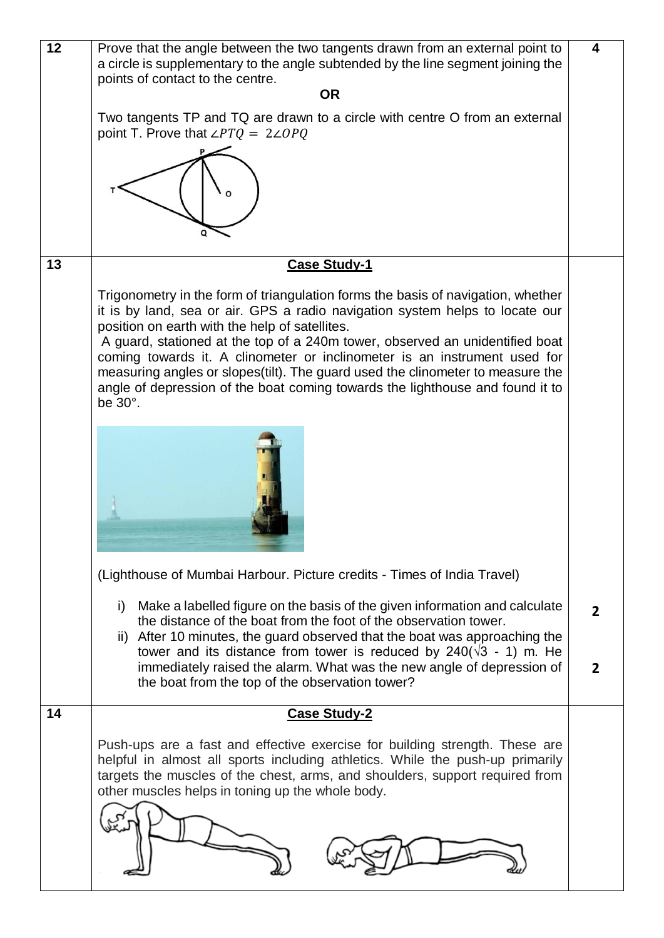